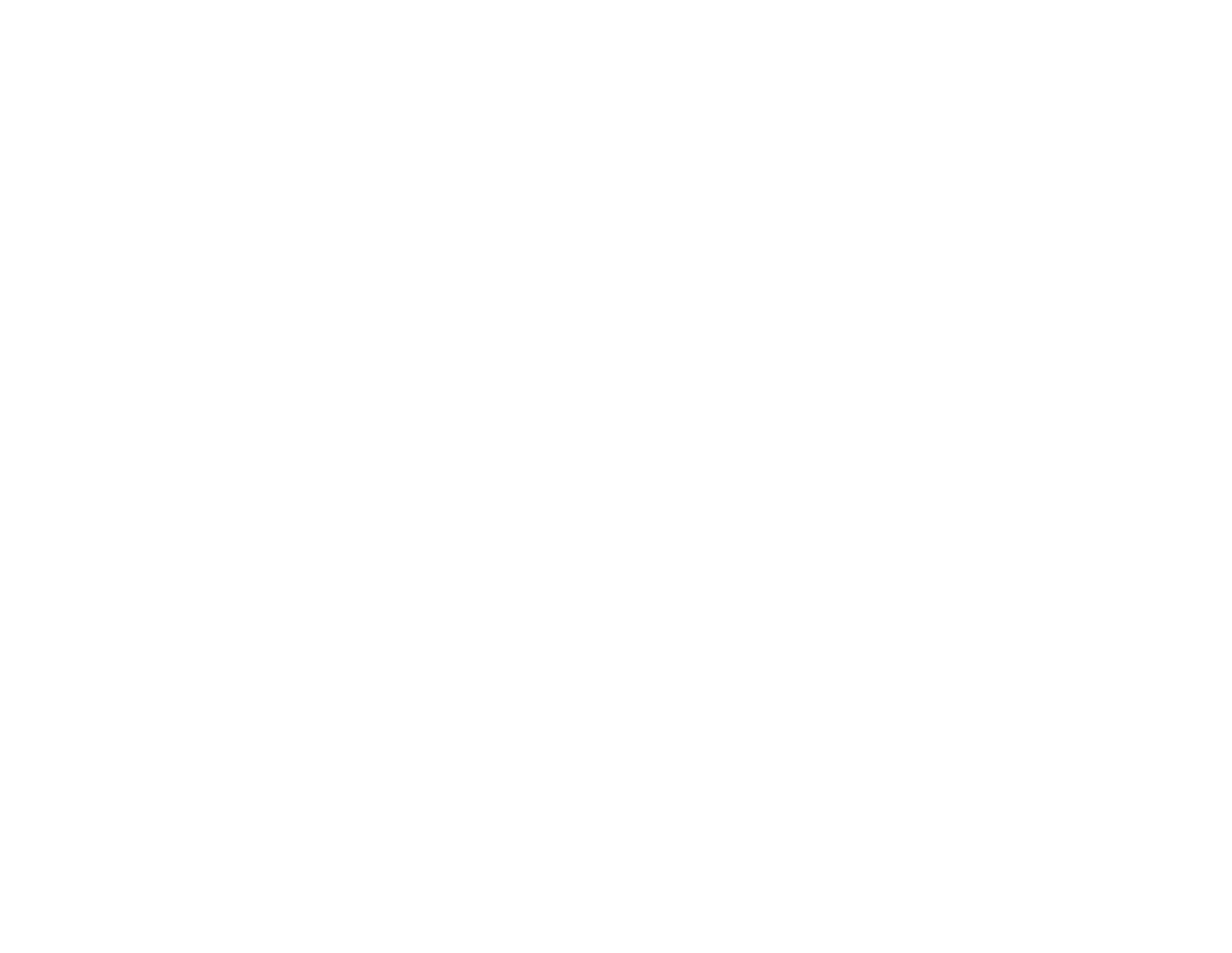### **CITY OF RANCHO PALOS VERDES SUMMARY OF EXPENDITURES - ALL FUNDS**

#### **December 31, 2020**

|                     |                                                                                                                            |                       | FY 2020-21         |                    |                                        |             | FY 2019-20                             |                                                   |          |
|---------------------|----------------------------------------------------------------------------------------------------------------------------|-----------------------|--------------------|--------------------|----------------------------------------|-------------|----------------------------------------|---------------------------------------------------|----------|
| <b>FUND</b>         | <b>FUND DESCRIPTION</b>                                                                                                    | <b>REVISED BUDGET</b> | <b>YTD ACTUALS</b> | <b>YTD ENCUMB.</b> | <b>YTD ACTUALS +</b><br><b>ENCUMB.</b> | <b>USED</b> | <b>YTD ACTUALS +</b><br><b>ENCUMB.</b> | YEAR OVER YEAR CHANGE<br><b>ACTUALS + ENCUMB.</b> |          |
|                     | <b>101 GENERAL FUND</b>                                                                                                    |                       |                    |                    |                                        |             |                                        |                                                   |          |
|                     | <b>CITY COUNCIL</b>                                                                                                        | \$<br>102,900         | 40,789 \$<br>\$    |                    | 0 <sup>5</sup><br>40,789               | 39.6%       | 47,884<br>\$                           | (57,095)                                          | $-14.8%$ |
|                     | <b>LEGAL SERVICES</b>                                                                                                      | 1,000,000             | 478,967            | $\mathbf{0}$       | 478,967                                | 47.9%       | 545,316                                | (66, 349)                                         | $-12.2%$ |
|                     | <b>CITY CLERK</b><br>541,000                                                                                               |                       | 188,765            | 2,517              | 191,282                                | 35.4%       | 594,075                                | (402, 793)                                        | $-67.8%$ |
| <b>CITY MANAGER</b> |                                                                                                                            | 770,300               | 314,054            | $\mathbf 0$        | 314,054                                | 40.8%       | 341,376                                | (27, 321)                                         | $-8.0%$  |
|                     | 471,400<br><b>CITY ADMINISTRATION</b><br><b>HUMAN RESOURCES</b><br>316,000<br><b>INFORMATION TECHNOLOGIES</b><br>1,239,300 |                       | 104,918            | 21,030             | 125,948                                | 26.7%       | 183,756                                | (57,808)                                          | $-31.5%$ |
|                     |                                                                                                                            |                       | 163,205            | 859                | 164,064                                | 51.9%       | 200,590                                | (36, 527)                                         | $-18.2%$ |
|                     |                                                                                                                            |                       | 642,766            | 354,713            | 997,480                                | 80.5%       | 708,286                                | 289,194                                           | 40.8%    |
|                     | <b>FINANCE</b>                                                                                                             | 1,591,072             | 706,479            | 43,415             | 749,895                                | 47.1%       | 911,204                                | (161, 309)                                        | $-17.7%$ |
|                     | <b>PUBLIC WORKS</b>                                                                                                        | 5,554,384             | 1,953,680          | 1,538,480          | 3,492,160                              | 62.9%       | 4,815,586                              | (1,323,426)                                       | $-27.5%$ |
|                     | <b>COMMUNITY DEVELOPMENT</b>                                                                                               | 3,184,300             | 1,169,804          | 334,999            | 1,504,802                              | 47.3%       | 1,986,457                              | (481, 654)                                        | $-24.2%$ |
|                     | <b>RECREATIONAL &amp; PARKS</b>                                                                                            | 3,258,429             | 1,240,345          | 74,434             | 1,314,778                              | 40.4%       | 1,394,366                              | (79, 588)                                         | $-5.7%$  |
|                     | <b>PUBLIC SAFETY</b>                                                                                                       | 7,407,200             | 3,624,015          | 4,748,080          | 8,372,095                              | 113.0%      | 7,996,612                              | 375,483                                           | 4.7%     |
|                     | NON-DEPARTMENTAL                                                                                                           | 1,905,189             | 539,734            | 84,229             | 623,964                                | 32.8%       | 759,499                                | (135, 535)                                        | $-17.8%$ |
|                     | <b>TRANSFERS OUT</b>                                                                                                       | 2,170,500             | 1,188,500          | $\mathbf 0$        | 1,188,500                              | 54.8%       | 2,058,450                              | (869, 950)                                        | $-42.3%$ |
|                     | <b>EMERGENCY OPERATION CENTER</b>                                                                                          | $\mathbf{0}$          | 196,880            | 53,506             | 250,386                                | 0.0%        | $\mathbf 0$                            | 250,386                                           | 0.0%     |
|                     | <b>TOTAL GENERAL FUND</b>                                                                                                  | 29,511,974            | 12,552,902         | 7,256,262          | 19,809,163                             | 67.1%       | 22,543,455                             | (2,734,292)                                       | $-12.1%$ |
|                     | <b>200 SPECIAL REVENUE FUNDS</b>                                                                                           |                       |                    |                    |                                        |             |                                        |                                                   |          |
|                     | 202 STREET MAINTENANCE                                                                                                     | 3,061,650             | 2,041,691          | 775,946            | 2,817,638                              | 92.0%       | 1,008,351                              | 1,809,287                                         | 179.4%   |
|                     | 209 EL PRADO LIGHTING DISTRICT                                                                                             | 800                   | $\mathbf{0}$       | $\mathbf{0}$       | $\mathbf 0$                            | 0.0%        | $\mathbf 0$                            | $\mathbf{0}$                                      | 0.0%     |
|                     | 211 1911 ACT STREET LIGHTING                                                                                               | 870,740               | 163,983            | 498,599            | 662,582                                | 76.1%       | 1,289,398                              | (626, 817)                                        | $-48.6%$ |
|                     | 213 WASTE REDUCTION                                                                                                        | 287,500               | 84,611             | 96,185             | 180,796                                | 62.9%       | 202,084                                | (21, 288)                                         | $-10.5%$ |
|                     | 214 AIR QUALITY MANAGEMENT                                                                                                 | 57,000                | 18,814             | 36,497             | 55,311                                 | 97.0%       | 0                                      | 55,311                                            | 0.0%     |
|                     | 215 PROPOSITION C                                                                                                          | 950,379               | 1,141              | 899,464            | 900,605                                | 94.8%       | 803,817                                | 96,787                                            | 12.0%    |
|                     | 216 PROPOSITION A                                                                                                          | 1,471,129             | 914,934            | 538,490            | 1,453,424                              | 98.8%       | 47,513                                 | 1,405,912                                         | 2959.0%  |
|                     | 217 PUBLIC SAFETY GRANTS                                                                                                   | 130,000               | 65,000             | $\mathbf 0$        | 65,000                                 | 50.0%       | 87,500                                 | (22,500)                                          | $-25.7%$ |
|                     | 220 MEASURE R                                                                                                              | 1,033,802             | 254,126            | 569,818            | 823,944                                | 79.7%       | 363,669                                | 460,274                                           | 126.6%   |
|                     | 221 MEASURE M                                                                                                              | 536,000               | 182,859            | 142,420            | 325,279                                | 60.7%       | 619,191                                | (293, 912)                                        | $-47.5%$ |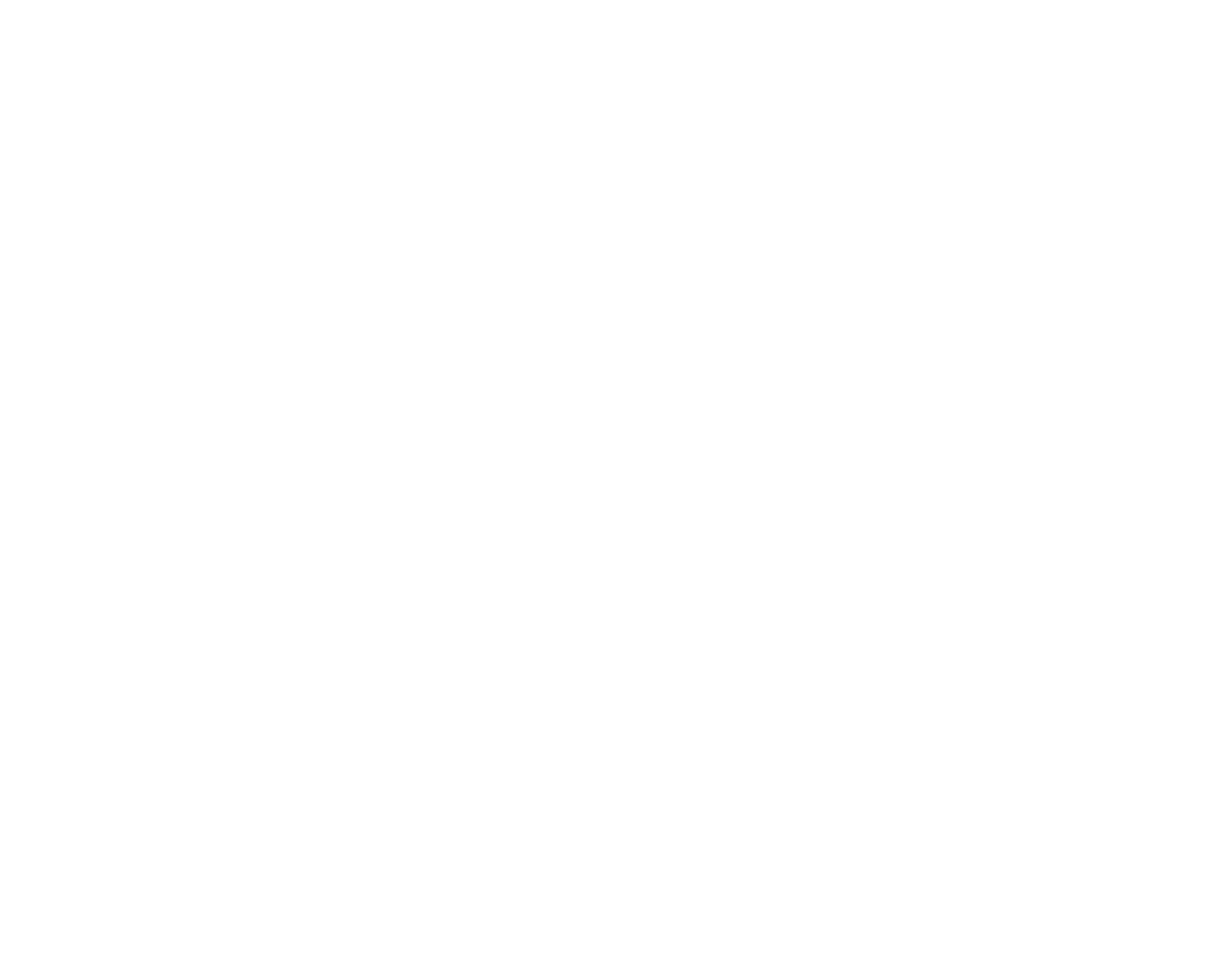# **CITY OF RANCHO PALOS VERDES SUMMARY OF EXPENDITURES - ALL FUNDS**

#### **December 31, 2020**

|             |                                              |                       |                    | FY 2020-21         |                                        | FY 2019-20  |                                        |                                                   |           |
|-------------|----------------------------------------------|-----------------------|--------------------|--------------------|----------------------------------------|-------------|----------------------------------------|---------------------------------------------------|-----------|
| <b>FUND</b> | <b>FUND DESCRIPTION</b>                      | <b>REVISED BUDGET</b> | <b>YTD ACTUALS</b> | <b>YTD ENCUMB.</b> | <b>YTD ACTUALS +</b><br><b>ENCUMB.</b> | <b>USED</b> | <b>YTD ACTUALS +</b><br><b>ENCUMB.</b> | YEAR OVER YEAR CHANGE<br><b>ACTUALS + ENCUMB.</b> |           |
| 222         | <b>HABITAT RESTORATION</b>                   | 184,900               | 92,450             | 138,675            | 231,125                                | 125.0%      | 179,497                                | 51,628                                            | 28.8%     |
| 223         | <b>SUBREGION ONE MAINTENANCE</b>             | 41,600                | 20,890             | 6,268              | 27,158                                 | 65.3%       | 38,110                                 | (10, 952)                                         | $-28.7%$  |
| 224         | <b>MEASURE A MAINTENANCE</b>                 | 100,000               | 50,000             | $\mathbf 0$        | 50,000                                 | 50.0%       | 50,000                                 | $\mathbf 0$                                       | 0.0%      |
|             | 225 ABALONE COVE SEWER DISTRICT              | 151,715               | 34,686             | 81,049             | 115,734                                | 76.3%       | 66,541                                 | 49,194                                            | 73.9%     |
| 227         | <b>GINSBERG CULTURAL ARTS BLDG.</b>          | $\mathbf{0}$          | $\mathbf 0$        | $\mathbf 0$        | 0                                      | 0.0%        | 1,045                                  | (1,045)                                           | $-100.0%$ |
| 228         | <b>DONOR RESTRICTED CONTRIBUTIONS</b>        | 38,422                | 2,185              | 24,557             | 26,742                                 | 69.6%       | 23,181                                 | 3,560                                             | 15.4%     |
|             | <b>TOTAL SPECIAL REVENUE FUNDS</b>           | 8,915,636             | 3,927,369          | 3,807,968          | 7,735,337                              | 86.8%       | 4,779,897                              | 2,955,440                                         | 61.8%     |
|             |                                              |                       |                    |                    |                                        |             |                                        |                                                   |           |
| 300         | <b>CAPITAL PROJECTS FUNDS</b>                |                       |                    |                    |                                        |             |                                        |                                                   |           |
|             | 310 COMMUNITY DEVELOPMENT BLOCK GRANT (CDBG) | 258,999               | 12,339             | 30,060             | 42,399                                 | 16.4%       | 161,261                                | (118, 862)                                        | $-73.7%$  |
| <b>330</b>  | INFRASTRUCTURE IMPROVEMENTS                  | 3,792,310             | 671,750            | 1,023,176          | 1,694,926                              | 44.7%       | 7,688,934                              | (5,994,008)                                       | $-78.0%$  |
|             | 331 FEDERAL GRANTS                           | $\Omega$              | $\mathbf 0$        | 0                  | 0                                      | 0.0%        | 0                                      | $\mathbf 0$                                       | 0.0%      |
|             | 332 STATE GRANTS                             | 212,945               | 29,381             | 182,182            | 211,563                                | 99.4%       | 532,106                                | (320, 542)                                        | $-60.2%$  |
|             | 334 QUIMBY PARK DEVELOPMENT                  | 300,790               | 2,661              | 265,329            | 267,990                                | 89.1%       | 862,706                                | (594, 716)                                        | $-68.9%$  |
|             | 336 LOW-MODERATE INCOME HOUSING              | $\mathbf{0}$          | $\mathbf{0}$       | $\mathbf{0}$       | $\mathbf 0$                            | 0.0%        | $\mathbf{0}$                           | $\mathbf{0}$                                      | 0.0%      |
| 338         | <b>DEVELOPMENT IMPACT MITIGATION (EET)</b>   | 210,000               | 79,862             | 90,040             | 169,902                                | 80.9%       | 360,435                                | (190, 532)                                        | $-52.9%$  |
|             | 343 MEASURE W                                | 213,537               | $\mathbf{0}$       | 213,537            | 213,537                                | 100.0%      | $\mathbf 0$                            | 213,537                                           | 0.0%      |
|             | <b>TOTAL CAPITAL PROJECTS FUNDS</b>          | 4,988,581             | 795,993            | 1,804,324          | 2,600,317                              | 52.1%       | 9,605,441                              | (7,005,124)                                       | $-72.9%$  |
|             |                                              |                       |                    |                    |                                        |             |                                        |                                                   |           |
| 600         | <b>INTERNAL SERVICE FUND</b>                 |                       |                    |                    |                                        |             |                                        |                                                   |           |
|             | 681 EQUIPMENT REPLACEMENT                    | 788,997               | 110,461            | 62,648             | 173,109                                | 21.9%       | 480,545                                | (307, 436)                                        | $-64.0%$  |
|             | <b>TOTAL INTERNAL SERVICE FUNDS</b>          | 788,997               | 110,461            | 62,648             | 173,109                                | 21.9%       | 480,545                                | (307, 436)                                        | $-64.0%$  |
|             |                                              |                       |                    |                    |                                        |             |                                        |                                                   |           |
|             | <b>REDEVELOPMENT AGENCY</b>                  |                       |                    |                    |                                        |             |                                        |                                                   |           |
|             | 701 REDEVELOPMENT OBLIGATION                 | $\mathbf 0$           | 275                | 0                  | 275                                    | 0.0%        | 1,726                                  | (1,451)                                           | $-84.1%$  |
|             | <b>TOTAL REDEVELOPMENT AGENCY</b>            | $\bf{0}$              | 275                | $\bf{0}$           | 275                                    | 0.0%        | 1,726                                  | (1,451)                                           | $-84.1%$  |